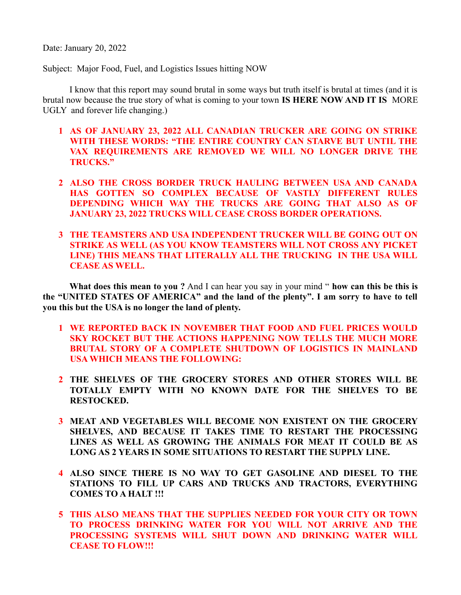Date: January 20, 2022

Subject: Major Food, Fuel, and Logistics Issues hitting NOW

I know that this report may sound brutal in some ways but truth itself is brutal at times (and it is brutal now because the true story of what is coming to your town **IS HERE NOW AND IT IS** MORE UGLY and forever life changing.)

- **1 AS OF JANUARY 23, 2022 ALL CANADIAN TRUCKER ARE GOING ON STRIKE WITH THESE WORDS: "THE ENTIRE COUNTRY CAN STARVE BUT UNTIL THE VAX REQUIREMENTS ARE REMOVED WE WILL NO LONGER DRIVE THE TRUCKS."**
- **2 ALSO THE CROSS BORDER TRUCK HAULING BETWEEN USA AND CANADA HAS GOTTEN SO COMPLEX BECAUSE OF VASTLY DIFFERENT RULES DEPENDING WHICH WAY THE TRUCKS ARE GOING THAT ALSO AS OF JANUARY 23, 2022 TRUCKS WILL CEASE CROSS BORDER OPERATIONS.**
- **3 THE TEAMSTERS AND USA INDEPENDENT TRUCKER WILL BE GOING OUT ON STRIKE AS WELL (AS YOU KNOW TEAMSTERS WILL NOT CROSS ANY PICKET LINE) THIS MEANS THAT LITERALLY ALL THE TRUCKING IN THE USA WILL CEASE AS WELL.**

**What does this mean to you ?** And I can hear you say in your mind " **how can this be this is the "UNITED STATES OF AMERICA" and the land of the plenty". I am sorry to have to tell you this but the USA is no longer the land of plenty.**

- **1 WE REPORTED BACK IN NOVEMBER THAT FOOD AND FUEL PRICES WOULD SKY ROCKET BUT THE ACTIONS HAPPENING NOW TELLS THE MUCH MORE BRUTAL STORY OF A COMPLETE SHUTDOWN OF LOGISTICS IN MAINLAND USA WHICH MEANS THE FOLLOWING:**
- **2 THE SHELVES OF THE GROCERY STORES AND OTHER STORES WILL BE TOTALLY EMPTY WITH NO KNOWN DATE FOR THE SHELVES TO BE RESTOCKED.**
- **3 MEAT AND VEGETABLES WILL BECOME NON EXISTENT ON THE GROCERY SHELVES, AND BECAUSE IT TAKES TIME TO RESTART THE PROCESSING LINES AS WELL AS GROWING THE ANIMALS FOR MEAT IT COULD BE AS LONG AS 2 YEARS IN SOME SITUATIONS TO RESTART THE SUPPLY LINE.**
- **4 ALSO SINCE THERE IS NO WAY TO GET GASOLINE AND DIESEL TO THE STATIONS TO FILL UP CARS AND TRUCKS AND TRACTORS, EVERYTHING COMES TO A HALT !!!**
- **5 THIS ALSO MEANS THAT THE SUPPLIES NEEDED FOR YOUR CITY OR TOWN TO PROCESS DRINKING WATER FOR YOU WILL NOT ARRIVE AND THE PROCESSING SYSTEMS WILL SHUT DOWN AND DRINKING WATER WILL CEASE TO FLOW!!!**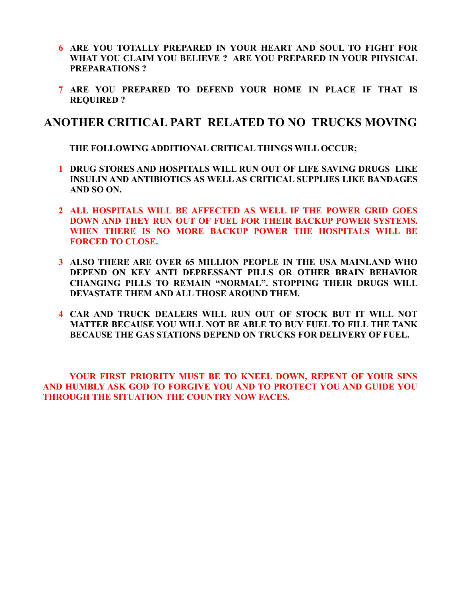- **6 ARE YOU TOTALLY PREPARED IN YOUR HEART AND SOUL TO FIGHT FOR WHAT YOU CLAIM YOU BELIEVE ? ARE YOU PREPARED IN YOUR PHYSICAL PREPARATIONS ?**
- **7 ARE YOU PREPARED TO DEFEND YOUR HOME IN PLACE IF THAT IS REQUIRED ?**

## **ANOTHER CRITICAL PART RELATED TO NO TRUCKS MOVING**

**THE FOLLOWING ADDITIONAL CRITICAL THINGS WILL OCCUR;**

- **1 DRUG STORES AND HOSPITALS WILL RUN OUT OF LIFE SAVING DRUGS LIKE INSULIN AND ANTIBIOTICS AS WELL AS CRITICAL SUPPLIES LIKE BANDAGES AND SO ON.**
- **2 ALL HOSPITALS WILL BE AFFECTED AS WELL IF THE POWER GRID GOES DOWN AND THEY RUN OUT OF FUEL FOR THEIR BACKUP POWER SYSTEMS. WHEN THERE IS NO MORE BACKUP POWER THE HOSPITALS WILL BE FORCED TO CLOSE.**
- **3 ALSO THERE ARE OVER 65 MILLION PEOPLE IN THE USA MAINLAND WHO DEPEND ON KEY ANTI DEPRESSANT PILLS OR OTHER BRAIN BEHAVIOR CHANGING PILLS TO REMAIN "NORMAL". STOPPING THEIR DRUGS WILL DEVASTATE THEM AND ALL THOSE AROUND THEM.**
- **4 CAR AND TRUCK DEALERS WILL RUN OUT OF STOCK BUT IT WILL NOT MATTER BECAUSE YOU WILL NOT BE ABLE TO BUY FUEL TO FILL THE TANK BECAUSE THE GAS STATIONS DEPEND ON TRUCKS FOR DELIVERY OF FUEL.**

**YOUR FIRST PRIORITY MUST BE TO KNEEL DOWN, REPENT OF YOUR SINS AND HUMBLY ASK GOD TO FORGIVE YOU AND TO PROTECT YOU AND GUIDE YOU THROUGH THE SITUATION THE COUNTRY NOW FACES.**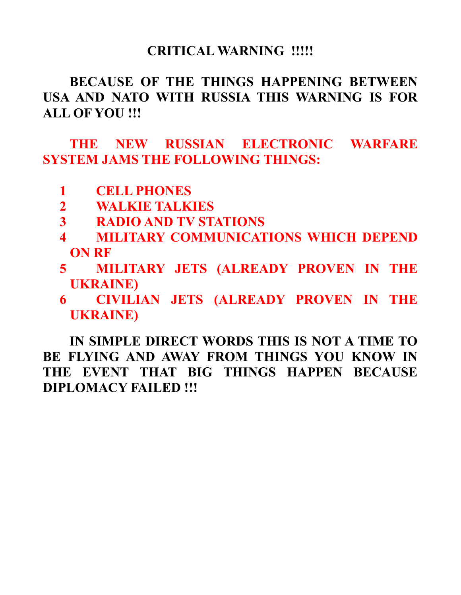## **CRITICAL WARNING !!!!!**

**BECAUSE OF THE THINGS HAPPENING BETWEEN USA AND NATO WITH RUSSIA THIS WARNING IS FOR ALL OF YOU !!!**

**THE NEW RUSSIAN ELECTRONIC WARFARE SYSTEM JAMS THE FOLLOWING THINGS:**

- **1 CELL PHONES**
- **2 WALKIE TALKIES**
- **3 RADIO AND TV STATIONS**
- **4 MILITARY COMMUNICATIONS WHICH DEPEND ON RF**
- **5 MILITARY JETS (ALREADY PROVEN IN THE UKRAINE)**
- **6 CIVILIAN JETS (ALREADY PROVEN IN THE UKRAINE)**

**IN SIMPLE DIRECT WORDS THIS IS NOT A TIME TO BE FLYING AND AWAY FROM THINGS YOU KNOW IN THE EVENT THAT BIG THINGS HAPPEN BECAUSE DIPLOMACY FAILED !!!**